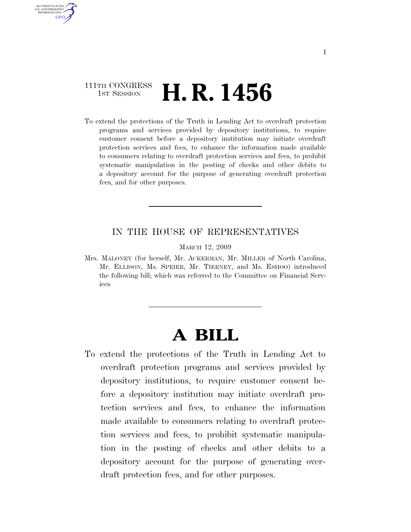## 111TH CONGRESS <sup>TH CONGRESS</sup> **H. R. 1456**

AUTHENTICATED U.S. GOVERNMENT **GPO** 

> To extend the protections of the Truth in Lending Act to overdraft protection programs and services provided by depository institutions, to require customer consent before a depository institution may initiate overdraft protection services and fees, to enhance the information made available to consumers relating to overdraft protection services and fees, to prohibit systematic manipulation in the posting of checks and other debits to a depository account for the purpose of generating overdraft protection fees, and for other purposes.

## IN THE HOUSE OF REPRESENTATIVES

## MARCH 12, 2009

Mrs. MALONEY (for herself, Mr. ACKERMAN, Mr. MILLER of North Carolina, Mr. ELLISON, Ms. SPEIER, Mr. TIERNEY, and Ms. ESHOO) introduced the following bill; which was referred to the Committee on Financial Services

## **A BILL**

To extend the protections of the Truth in Lending Act to overdraft protection programs and services provided by depository institutions, to require customer consent before a depository institution may initiate overdraft protection services and fees, to enhance the information made available to consumers relating to overdraft protection services and fees, to prohibit systematic manipulation in the posting of checks and other debits to a depository account for the purpose of generating overdraft protection fees, and for other purposes.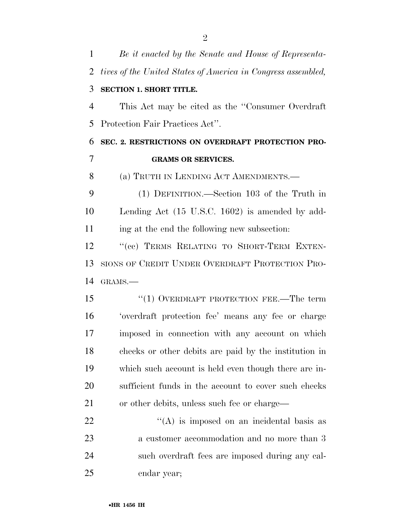| $\mathbf{1}$   | Be it enacted by the Senate and House of Representa-         |
|----------------|--------------------------------------------------------------|
| 2              | tives of the United States of America in Congress assembled, |
| 3              | <b>SECTION 1. SHORT TITLE.</b>                               |
| $\overline{4}$ | This Act may be cited as the "Consumer Overdraft"            |
| 5              | Protection Fair Practices Act".                              |
| 6              | SEC. 2. RESTRICTIONS ON OVERDRAFT PROTECTION PRO-            |
| $\overline{7}$ | <b>GRAMS OR SERVICES.</b>                                    |
| 8              | (a) TRUTH IN LENDING ACT AMENDMENTS.—                        |
| 9              | (1) DEFINITION.—Section 103 of the Truth in                  |
| 10             | Lending Act (15 U.S.C. 1602) is amended by add-              |
| 11             | ing at the end the following new subsection:                 |
| 12             | "(cc) TERMS RELATING TO SHORT-TERM EXTEN-                    |
| 13             | SIONS OF CREDIT UNDER OVERDRAFT PROTECTION PRO-              |
| 14             | GRAMS.-                                                      |
| 15             | $``(1)$ OVERDRAFT PROTECTION FEE.—The term                   |
| 16             | 'overdraft protection fee' means any fee or charge           |
| 17             | imposed in connection with any account on which              |
| 18             | checks or other debits are paid by the institution in        |
| 19             | which such account is held even though there are in-         |
| 20             | sufficient funds in the account to cover such checks         |
| 21             | or other debits, unless such fee or charge—                  |
| 22             | $\lq\lq$ is imposed on an incidental basis as                |
| 23             | a customer accommodation and no more than 3                  |
| 24             | such overdraft fees are imposed during any cal-              |
| 25             | endar year;                                                  |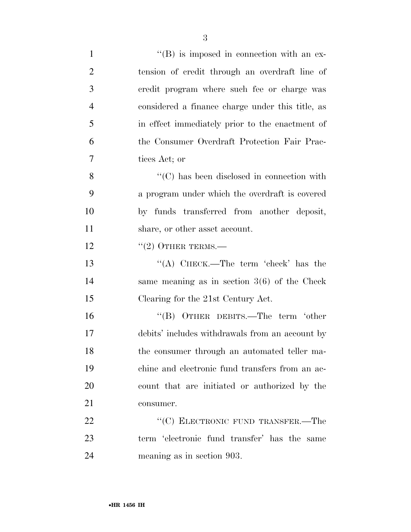| $\mathbf{1}$   | $\lq\lq (B)$ is imposed in connection with an ex- |
|----------------|---------------------------------------------------|
| $\overline{2}$ | tension of credit through an overdraft line of    |
| 3              | credit program where such fee or charge was       |
| $\overline{4}$ | considered a finance charge under this title, as  |
| 5              | in effect immediately prior to the enactment of   |
| 6              | the Consumer Overdraft Protection Fair Prac-      |
| 7              | tices Act; or                                     |
| 8              | $\cdot$ (C) has been disclosed in connection with |
| 9              | a program under which the overdraft is covered    |
| 10             | by funds transferred from another deposit,        |
| 11             | share, or other asset account.                    |
| 12             | $``(2)$ OTHER TERMS.—                             |
| 13             | "(A) CHECK.—The term 'check' has the              |
| 14             | same meaning as in section $3(6)$ of the Check    |
| 15             | Clearing for the 21st Century Act.                |
| 16             | "(B) OTHER DEBITS.—The term 'other                |
| 17             | debits' includes withdrawals from an account by   |
| 18             | the consumer through an automated teller ma-      |
| 19             | chine and electronic fund transfers from an ac-   |
| 20             | count that are initiated or authorized by the     |
| 21             | consumer.                                         |
| 22             | "(C) ELECTRONIC FUND TRANSFER.—The                |
| 23             | term 'electronic fund transfer' has the same      |
| 24             | meaning as in section 903.                        |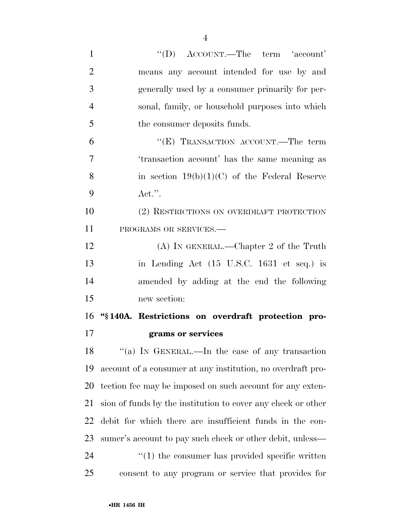| $\mathbf{1}$   | "(D) ACCOUNT.—The term 'account'                                |
|----------------|-----------------------------------------------------------------|
| $\overline{2}$ | means any account intended for use by and                       |
| 3              | generally used by a consumer primarily for per-                 |
| $\overline{4}$ | sonal, family, or household purposes into which                 |
| 5              | the consumer deposits funds.                                    |
| 6              | "(E) TRANSACTION ACCOUNT.—The term                              |
| 7              | 'transaction account' has the same meaning as                   |
| 8              | in section $19(b)(1)(C)$ of the Federal Reserve                 |
| 9              | $\text{Act."}.$                                                 |
| 10             | (2) RESTRICTIONS ON OVERDRAFT PROTECTION                        |
| 11             | PROGRAMS OR SERVICES.-                                          |
| 12             | $(A)$ In GENERAL.—Chapter 2 of the Truth                        |
| 13             | in Lending Act (15 U.S.C. 1631 et seq.) is                      |
| 14             | amended by adding at the end the following                      |
| 15             | new section:                                                    |
| 16             | "§140A. Restrictions on overdraft protection pro-               |
| 17             | grams or services                                               |
| 18             | "(a) IN GENERAL.—In the case of any transaction                 |
| 19             | account of a consumer at any institution, no overdraft pro-     |
| 20             | tection fee may be imposed on such account for any exten-       |
| 21             | sion of funds by the institution to cover any check or other    |
| 22             | debit for which there are insufficient funds in the con-        |
| 23             | sumer's account to pay such check or other debit, unless—       |
| 24             | $\cdot\cdot\cdot(1)$ the consumer has provided specific written |
| 25             | consent to any program or service that provides for             |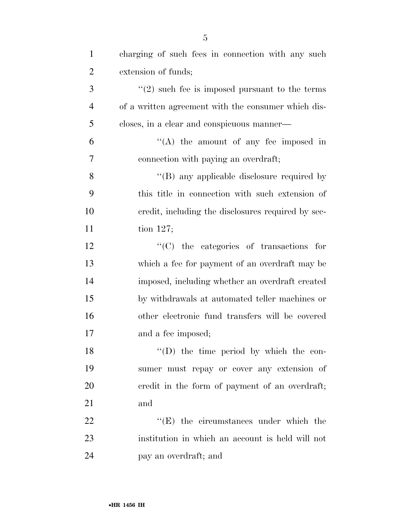| $\mathbf{1}$   | charging of such fees in connection with any such   |
|----------------|-----------------------------------------------------|
| $\overline{2}$ | extension of funds;                                 |
| 3              | $f'(2)$ such fee is imposed pursuant to the terms   |
| $\overline{4}$ | of a written agreement with the consumer which dis- |
| 5              | closes, in a clear and conspicuous manner—          |
| 6              | $\lq\lq$ the amount of any fee imposed in           |
| 7              | connection with paying an overdraft;                |
| 8              | "(B) any applicable disclosure required by          |
| 9              | this title in connection with such extension of     |
| 10             | credit, including the disclosures required by sec-  |
| 11             | tion $127$ ;                                        |
| 12             | $\lq\lq$ (C) the categories of transactions for     |
| 13             | which a fee for payment of an overdraft may be      |
| 14             | imposed, including whether an overdraft created     |
| 15             | by withdrawals at automated teller machines or      |
| 16             | other electronic fund transfers will be covered     |
| 17             | and a fee imposed;                                  |
| 18             | $\lq\lq$ (D) the time period by which the con-      |
| 19             | sumer must repay or cover any extension of          |
| 20             | eredit in the form of payment of an overdraft;      |
| 21             | and                                                 |
| 22             | $\lq\lq(E)$ the circumstances under which the       |
| 23             | institution in which an account is held will not    |
| 24             | pay an overdraft; and                               |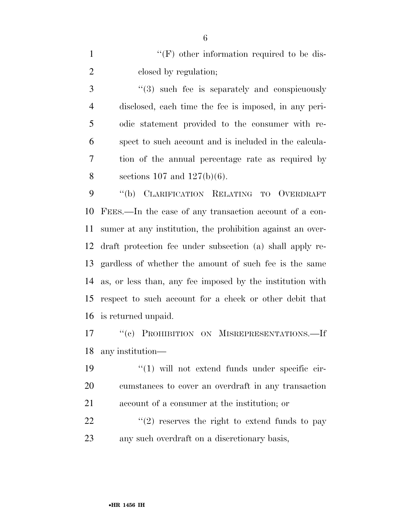1 ''(F) other information required to be dis-2 closed by regulation;

3 "(3) such fee is separately and conspicuously disclosed, each time the fee is imposed, in any peri- odic statement provided to the consumer with re- spect to such account and is included in the calcula- tion of the annual percentage rate as required by 8 sections 107 and  $127(b)(6)$ .

 ''(b) CLARIFICATION RELATING TO OVERDRAFT FEES.—In the case of any transaction account of a con- sumer at any institution, the prohibition against an over- draft protection fee under subsection (a) shall apply re- gardless of whether the amount of such fee is the same as, or less than, any fee imposed by the institution with respect to such account for a check or other debit that is returned unpaid.

17 "(c) PROHIBITION ON MISREPRESENTATIONS.—If any institution—

19  $\frac{1}{2}$  (1) will not extend funds under specific cir- cumstances to cover an overdraft in any transaction account of a consumer at the institution; or

22  $\frac{1}{2}$  (2) reserves the right to extend funds to pay any such overdraft on a discretionary basis,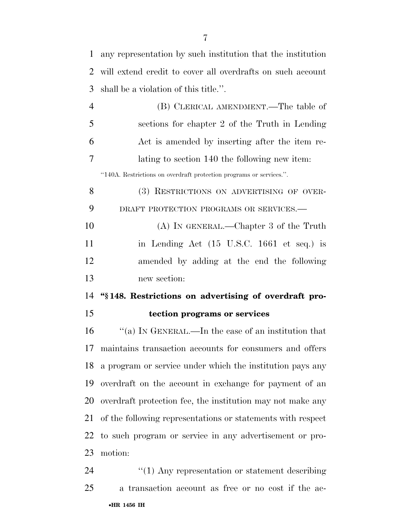| $\mathbf{1}$ | any representation by such institution that the institution         |
|--------------|---------------------------------------------------------------------|
| 2            | will extend credit to cover all overdrafts on such account          |
| 3            | shall be a violation of this title.".                               |
| 4            | (B) CLERICAL AMENDMENT.—The table of                                |
| 5            | sections for chapter 2 of the Truth in Lending                      |
| 6            | Act is amended by inserting after the item re-                      |
| $\tau$       | lating to section 140 the following new item:                       |
|              | "140A. Restrictions on overdraft protection programs or services.". |
| 8            | (3) RESTRICTIONS ON ADVERTISING OF OVER-                            |
| 9            | DRAFT PROTECTION PROGRAMS OR SERVICES.-                             |
| 10           | $(A)$ In GENERAL.—Chapter 3 of the Truth                            |
| 11           | in Lending Act (15 U.S.C. 1661 et seq.) is                          |
| 12           | amended by adding at the end the following                          |
| 13           | new section:                                                        |
| 14           | "\\$148. Restrictions on advertising of overdraft pro-              |
| 15           | tection programs or services                                        |
| 16           | "(a) IN GENERAL.—In the case of an institution that                 |
|              | maintains transaction accounts for consumers and offers             |
| 18           | a program or service under which the institution pays any           |
| 19           | overdraft on the account in exchange for payment of an              |
| 20           | overdraft protection fee, the institution may not make any          |
| 21           | of the following representations or statements with respect         |
| 22           | to such program or service in any advertisement or pro-             |
| 23           | motion:                                                             |
| 24           | $"(1)$ Any representation or statement describing                   |
| 25           | a transaction account as free or no cost if the ac-                 |
|              | •HR 1456 IH                                                         |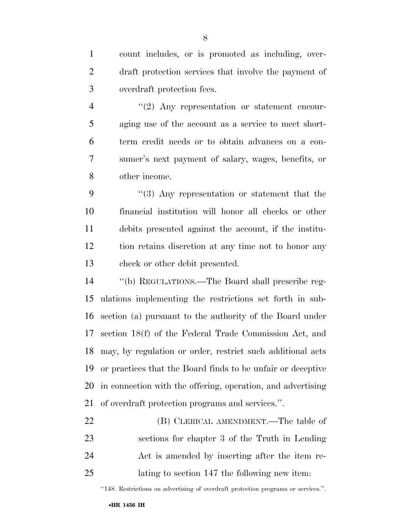count includes, or is promoted as including, over- draft protection services that involve the payment of overdraft protection fees.

4 "(2) Any representation or statement encour- aging use of the account as a service to meet short- term credit needs or to obtain advances on a con- sumer's next payment of salary, wages, benefits, or other income.

 ''(3) Any representation or statement that the financial institution will honor all checks or other debits presented against the account, if the institu- tion retains discretion at any time not to honor any check or other debit presented.

 ''(b) REGULATIONS.—The Board shall prescribe reg- ulations implementing the restrictions set forth in sub- section (a) pursuant to the authority of the Board under section 18(f) of the Federal Trade Commission Act, and may, by regulation or order, restrict such additional acts or practices that the Board finds to be unfair or deceptive in connection with the offering, operation, and advertising of overdraft protection programs and services.''.

22 (B) CLERICAL AMENDMENT.—The table of sections for chapter 3 of the Truth in Lending Act is amended by inserting after the item re-lating to section 147 the following new item:

''148. Restrictions on advertising of overdraft protection programs or services.''.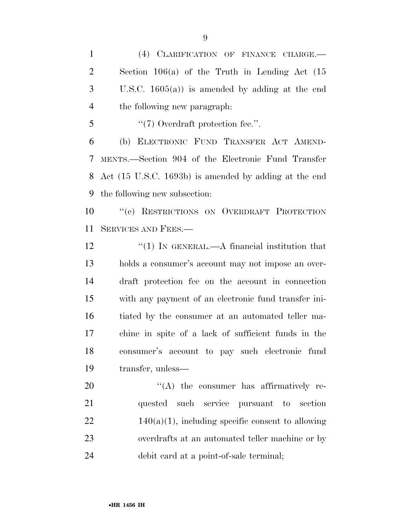(4) CLARIFICATION OF FINANCE CHARGE.— Section 106(a) of the Truth in Lending Act (15 U.S.C. 1605(a)) is amended by adding at the end the following new paragraph:

''(7) Overdraft protection fee.".

 (b) ELECTRONIC FUND TRANSFER ACT AMEND- MENTS.—Section 904 of the Electronic Fund Transfer Act (15 U.S.C. 1693b) is amended by adding at the end the following new subsection:

 ''(e) RESTRICTIONS ON OVERDRAFT PROTECTION SERVICES AND FEES.—

12 "(1) IN GENERAL.—A financial institution that holds a consumer's account may not impose an over- draft protection fee on the account in connection with any payment of an electronic fund transfer ini- tiated by the consumer at an automated teller ma- chine in spite of a lack of sufficient funds in the consumer's account to pay such electronic fund transfer, unless—

 $\langle (A)$  the consumer has affirmatively re- quested such service pursuant to section  $22 \t140(a)(1)$ , including specific consent to allowing overdrafts at an automated teller machine or by debit card at a point-of-sale terminal;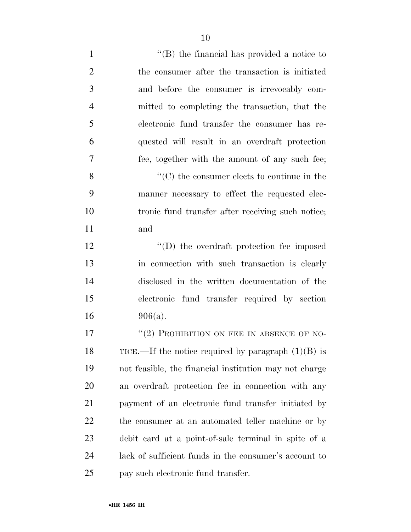1 ''(B) the financial has provided a notice to the consumer after the transaction is initiated and before the consumer is irrevocably com- mitted to completing the transaction, that the electronic fund transfer the consumer has re- quested will result in an overdraft protection fee, together with the amount of any such fee; ''(C) the consumer elects to continue in the manner necessary to effect the requested elec- tronic fund transfer after receiving such notice; and  $\qquad$  ''(D) the overdraft protection fee imposed in connection with such transaction is clearly disclosed in the written documentation of the electronic fund transfer required by section 906(a). 17 "(2) PROHIBITION ON FEE IN ABSENCE OF NO-18 TICE.—If the notice required by paragraph  $(1)(B)$  is not feasible, the financial institution may not charge an overdraft protection fee in connection with any payment of an electronic fund transfer initiated by the consumer at an automated teller machine or by

 debit card at a point-of-sale terminal in spite of a lack of sufficient funds in the consumer's account to pay such electronic fund transfer.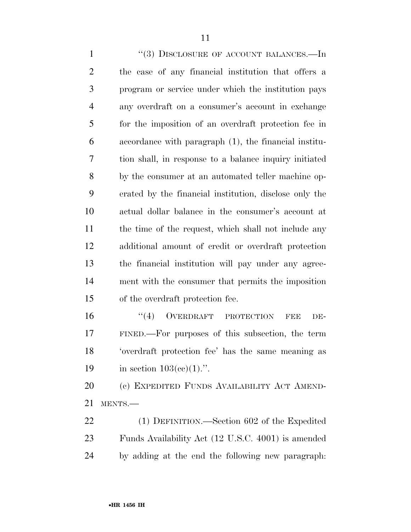1 "(3) DISCLOSURE OF ACCOUNT BALANCES.—In the case of any financial institution that offers a program or service under which the institution pays any overdraft on a consumer's account in exchange for the imposition of an overdraft protection fee in accordance with paragraph (1), the financial institu- tion shall, in response to a balance inquiry initiated by the consumer at an automated teller machine op- erated by the financial institution, disclose only the actual dollar balance in the consumer's account at 11 the time of the request, which shall not include any additional amount of credit or overdraft protection the financial institution will pay under any agree- ment with the consumer that permits the imposition of the overdraft protection fee.

16 "(4) OVERDRAFT PROTECTION FEE DE- FINED.—For purposes of this subsection, the term 'overdraft protection fee' has the same meaning as 19 in section  $103(\text{cc})(1)$ .".

 (c) EXPEDITED FUNDS AVAILABILITY ACT AMEND-MENTS.—

 (1) DEFINITION.—Section 602 of the Expedited Funds Availability Act (12 U.S.C. 4001) is amended by adding at the end the following new paragraph: